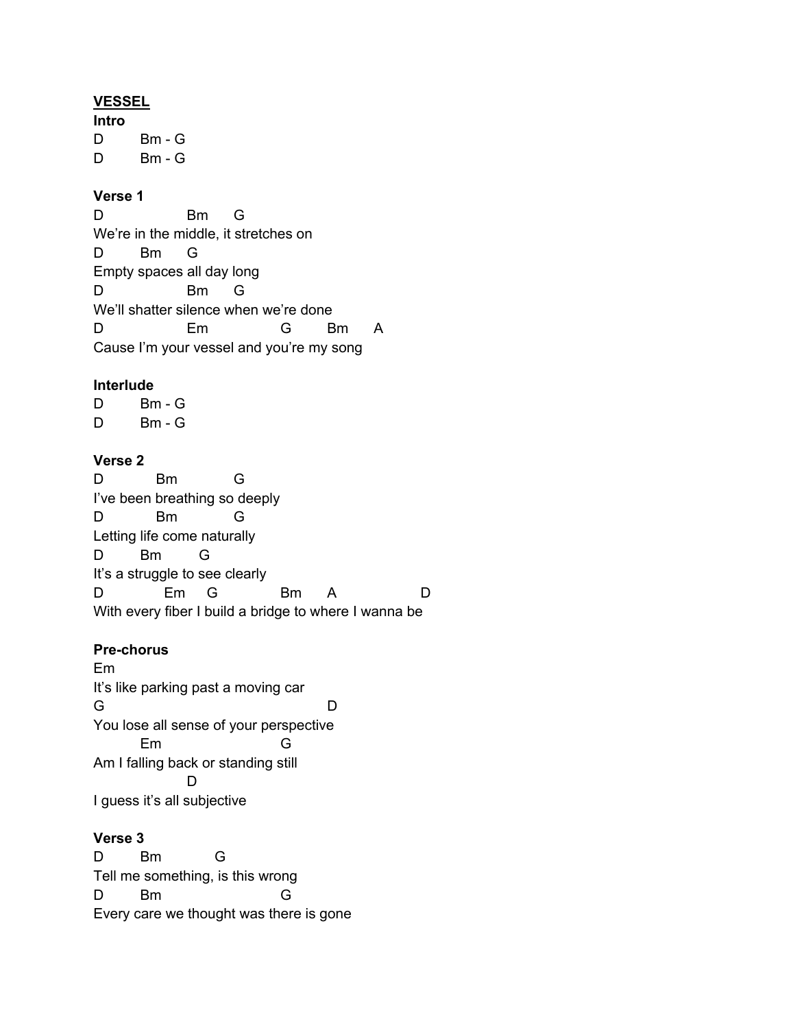#### **VESSEL**

**Intro** D Bm - G D Bm - G

## **Verse 1**

D Bm G We're in the middle, it stretches on D Bm G Empty spaces all day long D Bm G We'll shatter silence when we're done D Em G Bm A Cause I'm your vessel and you're my song

#### **Interlude**

 $D$  Bm - G  $D$  Bm - G

## **Verse 2**

D Bm G I've been breathing so deeply D Bm G Letting life come naturally D Bm G It's a struggle to see clearly D Em G Bm A D With every fiber I build a bridge to where I wanna be

#### **Pre-chorus**

Em It's like parking past a moving car G D You lose all sense of your perspective Em G Am I falling back or standing still D I guess it's all subjective

#### **Verse 3**

D Bm G Tell me something, is this wrong D Bm G Every care we thought was there is gone